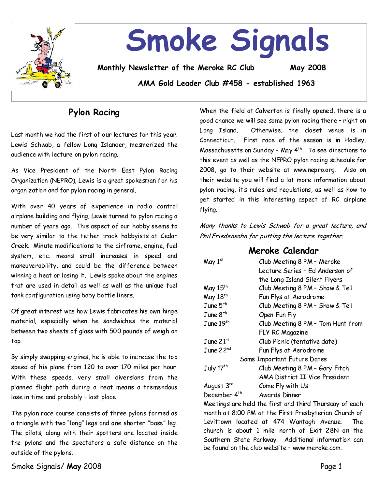

# **Smoke Signals**

**Monthly Newsletter of the Meroke RC Club May 2008**

**AMA Gold Leader Club #458 - established 1963**

## **Pylon Racing**

Last month we had the first of our lectures for this year. Lewis Schwab, a fellow Long Islander, mesmerized the audience with lecture on pylon racing.

As Vice President of the North East Pylon Racing Organization(NEPRO), Lewis is a great spokesman for his organization and for pylon racing in general.

With over 40 years of experience in radio control airplane building and flying, Lewis turned to pylon racing a number of years ago. This aspect of our hobby seems to be very similar to the tether track hobbyists at Cedar Creek. Minute modifications to the airframe, engine, fuel system, etc. means small increases in speed and maneuverability, and could be the difference between winning a heat or losing it. Lewis spoke about the engines that are usedin detail as well as well as the unique fuel tank configuration using baby bottle liners.

Of great interest was how Lewis fabricates his own hinge material, especially when he sandwiches the material between two sheets of glass with 500 pounds of weigh on top.

By simply swapping engines, he is able to increase the top speed of his plane from 120 to over 170 miles per hour. With these speeds, very small diversions from the planned flight path during a heat means a tremendous lose in time and probably - last place.

The pylon race course consists of three pylons formed as a triangle with two "long" legs and one shorter "base" leg. The pilots, along with their spotters are located inside the pylons and the spectators a safe distance on the outside of the pylons.

When the field at Calverton is finally opened, there is a good chance we will see some pylon racing there-right on Long Island. Otherwise, the closet venue is in Connecticut. First race of the season is in Hadley, Massachusetts on Sunday–May4th. To see directions to this event as well as the NEPRO pylon racing schedule for 2008, go to their website at www.nepro.org. Also on their website you will find a lot more information about pylon racing, it's rules and regulations, as well as how to get started in this interesting aspect of RC airplane flying.

Many thanks to Lewis Schwab for a great lecture, and Phil Friedensohn for putting the lecture together.

## **Meroke Calendar**

| May $1st$                   | Club Meeting 8 PM - Meroke        |  |
|-----------------------------|-----------------------------------|--|
|                             | Lecture Series - Ed Anderson of   |  |
|                             | the Long Island Silent Flyers     |  |
| May 15 <sup>th</sup>        | Club Meeting 8 PM - Show & Tell   |  |
| May 18th                    | Fun Flys at Aerodrome             |  |
| June $5^{th}$               | Club Meeting 8 PM - Show & Tell   |  |
| $J$ une $8$ <sup>th</sup>   | Open Fun Fly                      |  |
| $\rm J$ une $19^{\rm th}$   | Club Meeting 8 PM - Tom Hunt from |  |
|                             | FLY RC Magazine                   |  |
| $\rm J$ une 21st            | Club Picnic (tentative date)      |  |
| $\rm J$ une 22 $^{\rm nd}$  | Fun Flys at Aerodrome             |  |
| Some Important Future Dates |                                   |  |
| July 17 <sup>th</sup>       | Club Meeting 8 PM - Gary Fitch    |  |
|                             | AMA District II Vice President    |  |
| August 3 <sup>rd</sup>      | Come Fly with Us                  |  |
| December 4 <sup>th</sup>    | Awards Dinner                     |  |
|                             |                                   |  |

Meetings are held the first and third Thursday of each month at 8:00 PM at the First Presbyterian Church of Levittown located at 474 Wantagh Avenue. The church is about 1 mile north of Exit 28N on the Southern State Parkway. Additional information can be found on the club website - www.meroke.com.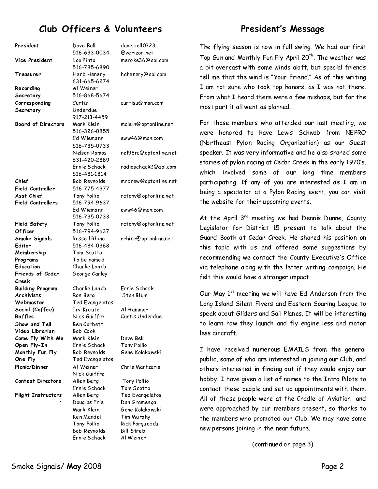## **Club Officers & Volunteers**

#### **President** Dave Bell 516-633-0034 dave.bell0323 @verizon.net **Vi ce President** Lou Pinto 516-785-6890 meroke36@aol.com **Treasurer** Herb Henery 631-665-6274 hahenery@aol.com **Recordi ng Secretary**  Al Weiner 516-868-5674 **Corresp onding Secretary**  Curtis Underdue 917-213-4459 curtisu@msn.com **Board of Directors** Mark Klein 516-326-0855 mclein@optonline.net Ed Wiemann 516-735-0733 eww46@man.com Nelson Ramos 631-420-2889 nel98rc@optonline.net Ernie Schack 516-481-1814 radioschack2@aol.com **Chief Field Controller** Bob Reynolds 516-775-4377 mrbrew@optonline.net **Asst Chi ef Field Controllers** Tony Pollio 516-794-9637 Ed Wiemann 516-735-0733 rctony@optonline.net eww46@man.com **Field Safety Of ficer** Tony Pollio 516-794-9637 rctony@optonline.net **Smoke Signals Editor** Russell Rhine 516-484-0368 rrhine@optonline.net **Membership** Tom Scotto Programs To be named Education Charlie Lando **Friends of Cedar Creek** George Carley **Buildi ng Program**  Charlie Lando Ernie Schack Archivists Ron Berg Stan Blum **Webmaster** Ted Evangelatos **Social (Coffee)** Irv Kreutel Al Hammer **Raffles** Nick Guiffre Curtis Underdue **Show and Tell** Ben Corbett **Video Librarian** Bob Cook **Come Fly With Me** Mark Klein Dave Bell **Open Fly-In** Ernie Schack Tony Pollio **Mon thly Fun Fly** Bob Reynolds Gene Kolakowski **One Fly** Ted Evangelatos **Pi cnic/Din ner** Al Weiner Nick Guiffre Chris Mantzaris **Contest Directors** Allen Berg Tony Pollio Ernie Schack Tom Scotto Flight Instructors Allen Berg Ted Evangelatos Douglas Frie Dan Gramenga Mark Klein Gene Kolakowski Ken Mandel Tim Murphy Tony Pollio Rick Porqueddu Bob Reynolds Bill Streb Ernie Schack Al Weiner

## **President's Message**

The flying season is now in full swing. We had our first Top Gun and Monthly Fun Fly April 20<sup>th</sup>. The weather was a bit overcast with some winds aloft, but special friends tell me that the wind is "Your Friend." As of this writing I am not sure who took top honors, as I was not there. From what I heard there were a few mishaps, but for the most part it all went as planned.

For those members who attended our last meeting, we were honored to have Lewis Schwab from NEPRO (Northeast Pylon Racing Organization) as our Guest speaker. It was very informative and he also shared some stories of pylon racing at Cedar Creek in the early 1970's, which involved some of our long time members participating. If any of you are interested as I am in being a spectator at a Pylon Racing event, you can visit the website for their upcoming events.

At the April  $3^{rd}$  meeting we had Dennis Dunne, County Legislator for District 15 present to talk about the Guard Booth at Cedar Creek. He shared his position on this topic with us and offered some suggestions by recommending we contact the County Executive's Office via telephone along with the letter writing campaign. He felt this would have a stronger impact.

Our May  $1<sup>st</sup>$  meeting we will have Ed Anderson from the Long Island Silent Flyers and Eastern Soaring League to speak about Gliders and Sail Planes. It will be interesting to learn how they launch and fly engine less and motor less aircraft.

I have received numerous EMAILS from the general public, some of who are interested in joining our Club, and others interested in finding out if they would enjoy our hobby. I have given a list of names to the Intro Pilots to contact these people and set up appointments with them. All of these people were at the Cradle of Aviation and were approached by our members present, so thanks to the members who promoted our Club. We may have some new persons joining in the near future.

(continued on page 3)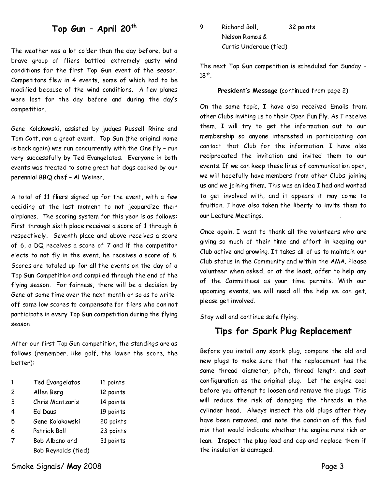### **Top Gun–April20th**

The weather was a lot colder than the day before, but a brave group of fliers battled extremely gusty wind conditions for the first Top Gun event of the season. Competitors flew in 4 events, some of which had to be modified because of the wind conditions. A few planes were lost for the day before and during the day's competition.

Gene Kolakowski, assisted by judges Russell Rhine and Tom Cott, ran a great event. Top Gun (the original name is back again) was run concurrently with the One Fly–run very successfully by Ted Evangelatos. Everyone in both events was treated to some great hot dogs cooked by our perennial BBQ chef - Al Weiner.

A total of 11 fliers signed up for the event, with a few deciding at the last moment to not jeopardize their airplanes. The scoring system for this year is as follows: First through sixth place receives a score of 1 through 6 respectively. Seventh place and above receives a score of 6, a DQ receives a score of 7 and if the competitor elects to not fly in the event, he receives a score of 8. Scores are totaled up for all the events on the day of a Top Gun Competitionand compiled through the end of the flying season. For fairness, there will be a decision by Gene at some time over the next month or so as towrite off some low scores to compensate for fliers who can not participate in every Top Gun competition during the flying season.

After our first Top Gun competition, the standings are as follows(remember, like golf, the lower the score, the better):

| $\mathbf{1}$ | Ted Evangelatos     | 11 points |
|--------------|---------------------|-----------|
| 2            | Allen Berg          | 12 points |
| 3            | Chris Mantzaris     | 14 points |
| 4            | Ed Daus             | 19 points |
| 5            | Gene Kolakowski     | 20 points |
| 6            | Patrick Boll        | 23 points |
| 7            | Bob Albano and      | 31 points |
|              | Bob Reynolds (tied) |           |

Smoke Signals/ **May** 2008 **Page 3** 

9 Richard Boll, 32 points Nelson Ramos & Curtis Underdue (tied)

The next Top Gun competition is scheduled for Sunday–  $18$ <sup>th</sup>.

#### President's Message (continued from page 2)

On the same topic, I have also received Emails from other Clubs inviting us to their Open Fun Fly. As I receive them, I will try to get the information out to our membership so anyone interested in participating can contact that Club for the information. I have also reciprocated the invitation and invited them to our events. If we can keep these lines of communication open, we will hopefully have members from other Clubs joining us and we joining them. This was an idea I had and wanted to get involved with, and it appears it may come to fruition. I have also taken the liberty to invite them to our Lecture Meetings.

Once again, I want to thank all the volunteers who are giving so much of their time and effort in keeping our Club active and growing. It takes all of us to maintain our Club status in the Community and within the AMA. Please volunteer when asked, or at the least, offer to help any of the Committees as your time permits. With our upcoming events, we will need all the help we can get, please get involved.

Stay well and continue safe flying.

### **Tips for Spark Plug Replacement**

Before you install any spark plug, compare the old and new plugs to make sure that the replacement has the same thread diameter, pitch, thread length and seat configuration as the original plug. Let the engine cool before you attempt to loosen and remove the plugs. This will reduce the risk of damaging the threads in the cylinder head. Always inspect the old plugs after they have been removed, and note the condition of the fuel mix that would indicate whether the engine runs rich or lean. Inspect the plug lead and cap and replace them if the insulation is damaged.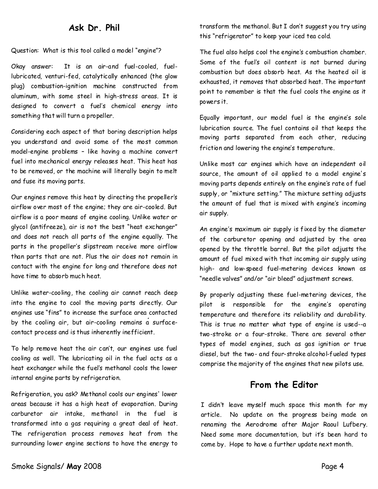#### **Ask Dr. Phil**

Question: What is this tool called a model "engine"?

Okay answer: It is an air-and fuel-cooled, fuel lubricated, venturi-fed, catalytically enhanced (the glow plug) combustion-ignition machine constructed from aluminum, with some steel in high-stress areas. It is designed to convert a fuel's chemical energy into something that will turn a propeller.

Considering each aspect of that boring description helps you understand and avoid some of the most common model-engine problems - like having a machine convert fuel into mechanical energy releases heat. This heat has to be removed, or the machine will literally begin to melt and fuse its moving parts.

Our engines remove this heat by directing the propeller's airflow over most of the engine; they are air-cooled. But airflow is a poor means of engine cooling. Unlike water or glycol (antifreeze), air is not the best "heat exchanger" and does not reach all parts of the engine equally. The parts in the propeller's slipstream receive more airflow than parts that are not. Plus the air does not remain in contact with the engine for long and therefore does not have time to absorb much heat.

Unlike water-cooling, the cooling air cannot reach deep into the engine to cool the moving parts directly. Our engines use "fins" to increase the surface area contacted by the cooling air, but air-cooling remains a surfacecontact process and is thus inherently inefficient.

To help remove heat the air can't, our engines use fuel cooling as well. The lubricating oil in the fuel acts as a heat exchanger while the fuel's methanol cools the lower internal engine parts by refrigeration.

Refrigeration, you ask? Methanol cools our engines' lower areas because it has a high heat of evaporation. During carburetor air intake, methanol in the fuel is transformed into a gas requiring a great deal of heat. The refrigeration process removes heat from the surrounding lower engine sections to have the energy to transform the methanol. But I don't suggest you try using this "refrigerator" to keep your iced tea cold.

The fuel also helps cool the engine's combustion chamber. Some of the fuel's oil content is not burned during combustion but does absorb heat. As the heated oil is exhausted, it removes that absorbed heat. The important point to remember is that the fuel cools the engine as it powers it.

Equally important, our model fuel is the engine's sole lubrication source. The fuel contains oil that keeps the moving parts separated from each other, reducing friction and lowering the engine's temperature.

Unlike most car engines which have an independent oil source, the amount of oil applied to a model engine's moving parts depends entirely on the engine's rate of fuel supply, or "mixture setting." The mixture setting adjusts the amount of fuel that is mixed with engine's incoming air supply.

An engine's maximum air supply is fixed by the diameter of the carburetor opening and adjusted by the area opened by the throttle barrel. But the pilot adjusts the amount of fuel mixed with that incoming air supply using high- and low-speed fuel-metering devices known as "needle valves" and/or "air bleed" adjustment screws.

By properly adjusting these fuel-metering devices, the pilot is responsible for the engine's operating temperature and therefore its reliability and durability. This is true no matter what type of engine is used--a two-stroke or a four-stroke. There are several other types of model engines, such as gas ignition or true diesel, but the two-and four-stroke alcohol-fueled types comprise the majority of the engines that new pilots use.

## **From the Editor**

I didn't leave myself much space this month for my article. No update on the progress being made on renaming the Aerodrome after Major Raoul Lufbery. Need some more documentation, but it's been hard to come by. Hope to have a further update next month.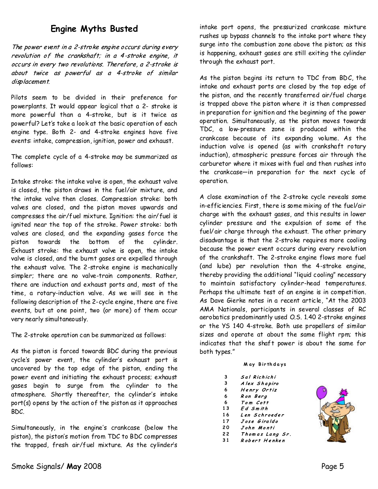## **Engine Myths Busted**

The power event in a 2-stroke engine occurs during every revolution of the crankshaft; in a 4-stroke engine, it occurs in every two revolutions. Therefore, a 2-stroke is about twice as powerful as a 4-stroke of similar displacement.

Pilots seem to be divided in their preference for powerplants. It would appear logical that a 2-stroke is more powerful than a 4-stroke, but is it twice as powerful? Let's take alook at the basic operation of each engine type. Both 2- and 4-stroke engines have five events: intake, compression, ignition, power and exhaust.

The complete cycle of a 4-stroke may be summarized as follows:

Intake stroke: the intake valve is open, the exhaust valve is closed, the piston draws in the fuel/air mixture, and the intake valve then closes. Compression stroke: both valves are closed, and the piston moves upwards and compresses the air/fuel mixture. Ignition: the air/fuel is ignited near the topof the stroke. Power stroke: both valves are closed, and the expanding gases force the piston towards the bottom of the cylinder. Exhaust stroke: the exhaust valve is open, the intake valve is closed, and the burnt gases are expelled through the exhaust valve. The 2-stroke engine is mechanically simpler; there are no valve-train components. Rather, there are induction and exhaust ports and, most of the time, a rotary-induction valve. As we will see in the following description of the 2-cycle engine, there are five events, but at one point, two (or more) of them occur very nearly simultaneously.

The 2-stroke operation can be summarized as follows:

As the piston is forced towards BDC during the previous cycle's power event, the cylinder's exhaust port is uncovered by the top edge of the piston, ending the power event and initiating the exhaust process; exhaust gases begin to surge from the cylinder to the atmosphere. Shortly thereafter, the cylinder's intake port(s) opens by the action of the piston as it approaches BDC.

Simultaneously, in the engine's crankcase (below the piston), the piston's motion from TDC to BDC compresses the trapped, fresh air/fuel mixture. As the cylinder's

intake port opens, the pressurized crankcase mixture rushes up bypass channels to the intake port where they surge into the combustion zone above the piston; as this is happening, exhaust gases are still exiting the cylinder through the exhaust port.

As the piston begins its return to TDC from BDC, the intake and exhaust ports are closed by the top edge of the piston, and the recently transferred air/fuel charge is trapped above the piston where it is then compressed in preparation for ignition and the beginning of the power operation. Simultaneously, as the piston moves towards TDC, a low-pressure zone is produced within the crankcase because of its expanding volume. As the induction valve is opened (as with crankshaft rotary induction), atmospheric pressure forces air through the carburetor where it mixes with fuel and then rushes into the crankcase—in preparation for the next cycle of operation.

A close examination of the 2-stroke cycle reveals some in-efficiencies. First, there is some mixing of the fuel/air charge with the exhaust gases, and this results in lower cylinder pressure and the expulsion of some of the fuel/air charge through the exhaust. The other primary disadvantage is that the 2-stroke requires more cooling because the power event occurs during every revolution of the crankshaft. The 2-stroke engine flows more fuel (and lube) per revolution than the 4-stroke engine, thereby providing the additional "liquid cooling" necessary to maintain satisfactory cylinder-head temperatures. Perhaps the ultimate test of an engine is in competition. As Dave Gierke notes in a recent article, "At the 2003 AMA Nationals, participants in several classes of RC aerobatics predominantly used O.S. 1.40 2-stroke engines or the YS 140 4-stroke. Both use propellers of similar sizes and operate at about the same flight rpm; this indicates that the shaft power is about the same for both types."

#### **M a y B i r th d a y s**

| 3                        | Sal Richichi |
|--------------------------|--------------|
| $\overline{\phantom{a}}$ |              |

- **3**  Alex Shapiro Henry Ortiz
- **6 6**  Ron Berg
- Tom Cott **6**
- **1 3**  Ed Smith
- **1 6**  Len Schroeder
- Jose Giraldo **1 7**
- **2 0**  John Monti
- **2 2**  Thomas Lang Sr.
- **3 1** Robert Henken

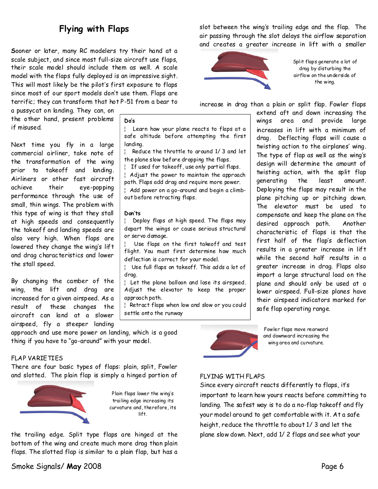## **Flying with Flaps**

Sooner or later, many RC modelers try their hand at a scale subject, and since most full-size aircraft use flaps, their scale model should include them as well. A scale model with the flaps fully deployed is an impressive sight. This will most likely be the pilot's first exposure to flaps since most of our sport models don't use them. Flaps are terrific; they can transform that hot P-51 from a bear to

a pussycaton landing. They can, on the other hand, present problems if misused.

Next time you fly in a large commercial airliner, take note of the transformation of the wing prior to takeoff and landing. Airliners or other fast aircraft achieve their eye-popping performance through the use of small, thin wings. The problem with this type of wing is that they stall at high speeds and consequently the takeoffand landing speeds are also very high. When flaps are lowered they change the wing's lift and drag characteristics and lower the stall speed.

By changing the camber of the wing, the lift and drag are increased for a given airspeed. As a result of these changes the aircraft can land at a slower airspeed, fly a steeper landing

approach and use more power on landing, which is a good thing if you have to "go-around" with your model.

#### FLAP VARIETIES

There are four basic types of flaps: plain, split, Fowler and slotted. The plain flap is simply a hinged portion of



Plain flaps lower the wing's trailing edge increasing its curvature and, therefore, its lift.

the trailing edge. Split type flaps are hinged at the bottom of the wing and create much more drag than plain flaps. The slotted flap is similar to a plain flap, but has a

#### **Do's**

¦ Learn how your plane reacts to flaps at a safe altitude before attempting the first landing.

¦ Reduce the throttle to around 1/ 3and let the plane slow before dropping the flaps.

¦ If used for takeoff, use onlypartial flaps.

| Adjust the power to maintain the approach path. Flaps add drag and require more power. | Add power on a go-around and begin a climb-

out before retracting flaps.

#### **Don'ts**

| Deploy flaps at high speed. The flaps may depart the wings or cause serious structural or servo damage.

Use flaps on the first takeoff and test flight. You must first determine how much deflection is correct for your model.

¦ Use full flaps on takeoff. Thisadds alot of drag.

¦ Let the plane balloon and lose itsairspeed. Adjust the elevator to keep the proper approach path.

¦ Retract flaps when low and slow oryou could settle onto the runway

slot between the wing's trailing edge and the flap. The air passing through the slot delays the airflow separation and creates a greater increase in lift with a smaller



Split flaps generate a lot of drag by disturbing the airflow on the underside of the wing.

increase in drag than a plain or split flap. Fowler flaps

extend aft and down increasing the wings area and provide large increases in lift with a minimum of drag. Deflecting flaps will cause a twisting action to the airplanes' wing. The type of flap as well as the wing's design will determine the amount of twisting action, with the split flap generating the least amount. Deploying the flaps may result in the plane pitching up or pitching down. The elevator must be used to compensate and keep the plane on the desired approach path. Another characteristic of flaps is that the first half of the flap's deflection results in a greater increase in lift while the second half results in a greater increase in drag. Flaps also impart a large structural load on the plane and should only be used at a lower airspeed. Full-size planes have their airspeed indicators marked for safe flap operating range.



Fowler flaps move rearward and downward increasing the wing area and curvature.

#### FLYING WITH FLAPS

Since every aircraft reacts differently to flaps, it's important to learn how yours reacts before committing to landing. The safest way is to do a no-flap takeoff and fly your model around to get comfortable with it. At a safe height, reduce the throttle to about 1/3 and let the plane slowdown. Next, add 1/ 2 flaps and seewhat your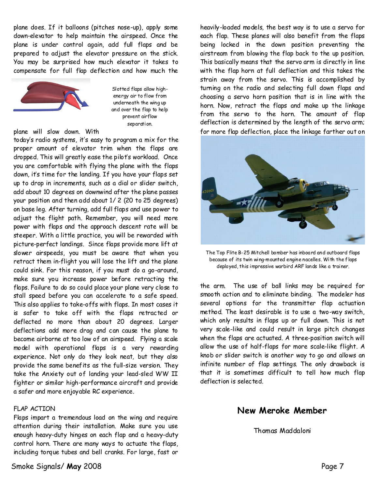plane does. If it balloons (pitches nose-up), apply some down-elevator to help maintain the airspeed. Once the plane is under control again, add full flaps and be prepared to adjust the elevator pressure on the stick. You may be surprised how much elevator it takes to compensate for full flap deflection and how much the



Slotted flaps allow high energy air to flow from underneath the wing up and over the flap to help prevent airflow separation.

#### plane will slow down. With

today's radio systems, it's easy to program a mix for the proper amount of elevator trim when the flaps are dropped. This will greatly ease the pilot's workload. Once you are comfortable with flying the plane with the flaps down, it's time for the landing. If you have your flaps set up to drop in increments, such as a dial or slider switch, add about 10 degrees on downwind after the plane passes your position and then addabout 1/ 2 (20 to 25 degrees) on base leg. After turning, add full flaps and use power to adjust the flight path. Remember, you will need more power with flaps and the approach descent rate will be steeper. With a little practice, you will be rewarded with picture-perfect landings. Since flaps provide more lift at slower airspeeds, you must be aware that when you retract them in-flight you will lose the lift and the plane could sink. For this reason, if you must do a go-around, make sure you increase power before retracting the flaps. Failure to do so could place your plane very close to stall speed before you can accelerate to a safe speed. This also applies to take-offs with flaps. In most cases it is safer to take off with the flaps retracted or deflected no more than about 20 degrees. Larger deflections add more drag and can cause the plane to become airborne at too low of an airspeed. Flying a scale model with operational flaps is a very rewarding experience. Not only do they look neat, but they also provide the same benefits as the full-size version. They take the Anxiety out of landing your lead-sled WW II fighter or similar high-performance aircraft and provide a safer and more enjoyable RC experience.

#### FLAP ACTION

Flaps impart a tremendous load on the wing and require attention during their installation. Make sure you use enough heavy-duty hinges on each flap and a heavy-duty control horn. There are many ways to actuate the flaps, including torque tubes and bell cranks. For large, fast or

heavily-loaded models, the best way is to use a servo for each flap. These planes will also benefit from the flaps being locked in the down position preventing the airstream from blowing the flap back to the up position. This basically means that the servo arm is directly in line with the flap horn at full deflection and this takes the strain away from the servo. This is accomplished by turning on the radio and selecting full down flaps and choosing a servo horn position that is in line with the horn. Now, retract the flaps and make up the linkage from the servo to the horn. The amount of flap deflection is determined by the length of the servo arm; for more flap deflection, place the linkage farther out on



The Top Flite B-25 Mitchell bomberhas inboard and outboard flaps because of its twin wing-mountedengine nacelles. With the flaps deployed, this impressive warbird ARF lands like a trainer.

the arm. The use of ball links may be required for smooth action and to eliminate binding. The modeler has several options for the transmitter flap actuation method. The least desirable is to use a two-way switch, which only results in flaps up or full down. This is not very scale-like and could result in large pitch changes when the flaps are actuated. A three-position switch will allow the use of half-flaps for more scale-like flight. A knob or slider switch is another way to go and allows an infinite number of flap settings. The only drawback is that it is sometimes difficult to tell how much flap deflection is selected.

#### **New Meroke Member**

Thomas Maddaloni